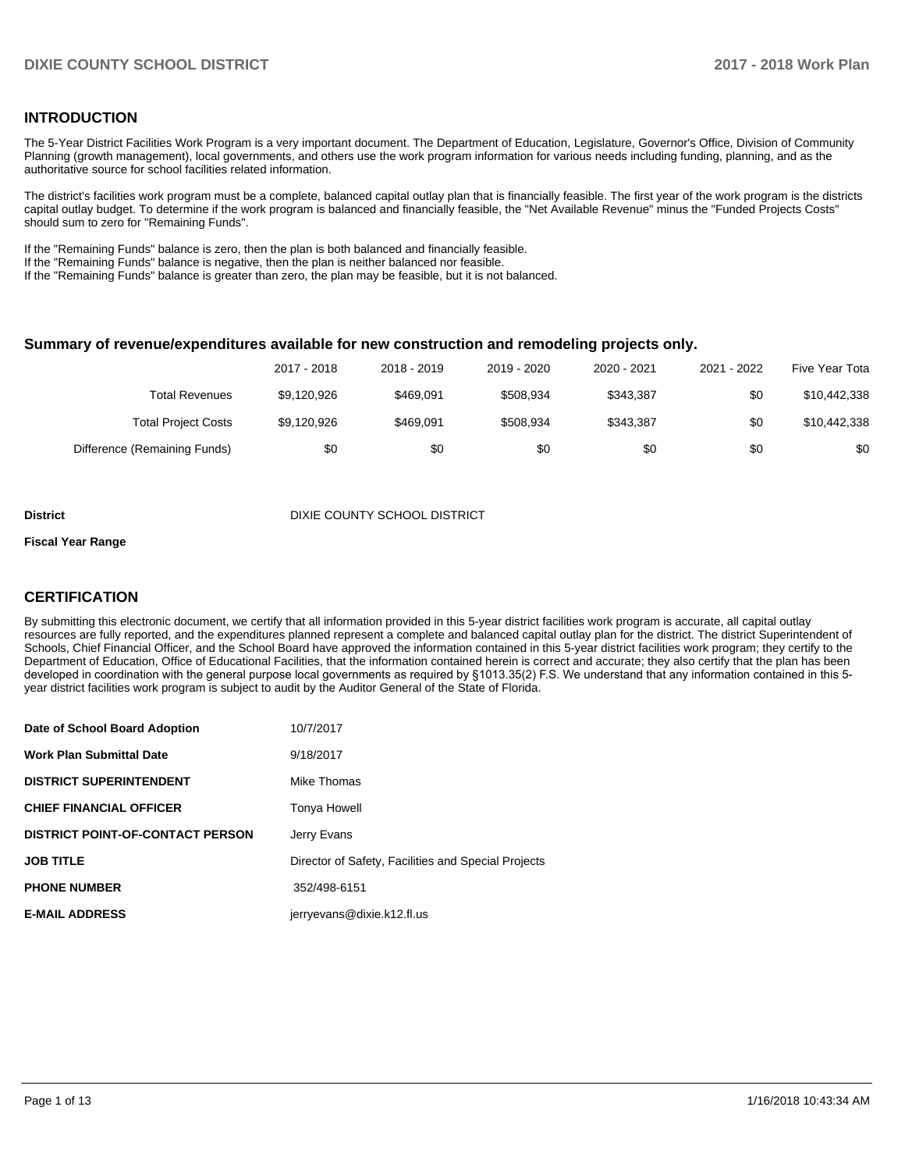### **INTRODUCTION**

The 5-Year District Facilities Work Program is a very important document. The Department of Education, Legislature, Governor's Office, Division of Community Planning (growth management), local governments, and others use the work program information for various needs including funding, planning, and as the authoritative source for school facilities related information.

The district's facilities work program must be a complete, balanced capital outlay plan that is financially feasible. The first year of the work program is the districts capital outlay budget. To determine if the work program is balanced and financially feasible, the "Net Available Revenue" minus the "Funded Projects Costs" should sum to zero for "Remaining Funds".

If the "Remaining Funds" balance is zero, then the plan is both balanced and financially feasible.

If the "Remaining Funds" balance is negative, then the plan is neither balanced nor feasible.

If the "Remaining Funds" balance is greater than zero, the plan may be feasible, but it is not balanced.

#### **Summary of revenue/expenditures available for new construction and remodeling projects only.**

|                              | 2017 - 2018 | 2018 - 2019 | 2019 - 2020 | 2020 - 2021 | 2021 - 2022 | Five Year Tota |
|------------------------------|-------------|-------------|-------------|-------------|-------------|----------------|
| Total Revenues               | \$9,120,926 | \$469.091   | \$508.934   | \$343.387   | \$0         | \$10,442,338   |
| <b>Total Project Costs</b>   | \$9,120,926 | \$469.091   | \$508.934   | \$343.387   | \$0         | \$10,442,338   |
| Difference (Remaining Funds) | \$0         | \$0         | \$0         | \$0         | \$0         | \$0            |

**District District District District District** DIXIE COUNTY SCHOOL DISTRICT

#### **Fiscal Year Range**

# **CERTIFICATION**

By submitting this electronic document, we certify that all information provided in this 5-year district facilities work program is accurate, all capital outlay resources are fully reported, and the expenditures planned represent a complete and balanced capital outlay plan for the district. The district Superintendent of Schools, Chief Financial Officer, and the School Board have approved the information contained in this 5-year district facilities work program; they certify to the Department of Education, Office of Educational Facilities, that the information contained herein is correct and accurate; they also certify that the plan has been developed in coordination with the general purpose local governments as required by §1013.35(2) F.S. We understand that any information contained in this 5year district facilities work program is subject to audit by the Auditor General of the State of Florida.

| Date of School Board Adoption           | 10/7/2017                                           |
|-----------------------------------------|-----------------------------------------------------|
| Work Plan Submittal Date                | 9/18/2017                                           |
| <b>DISTRICT SUPERINTENDENT</b>          | Mike Thomas                                         |
| <b>CHIEF FINANCIAL OFFICER</b>          | Tonya Howell                                        |
| <b>DISTRICT POINT-OF-CONTACT PERSON</b> | Jerry Evans                                         |
| JOB TITLE                               | Director of Safety, Facilities and Special Projects |
| <b>PHONE NUMBER</b>                     | 352/498-6151                                        |
| <b>E-MAIL ADDRESS</b>                   | jerryevans@dixie.k12.fl.us                          |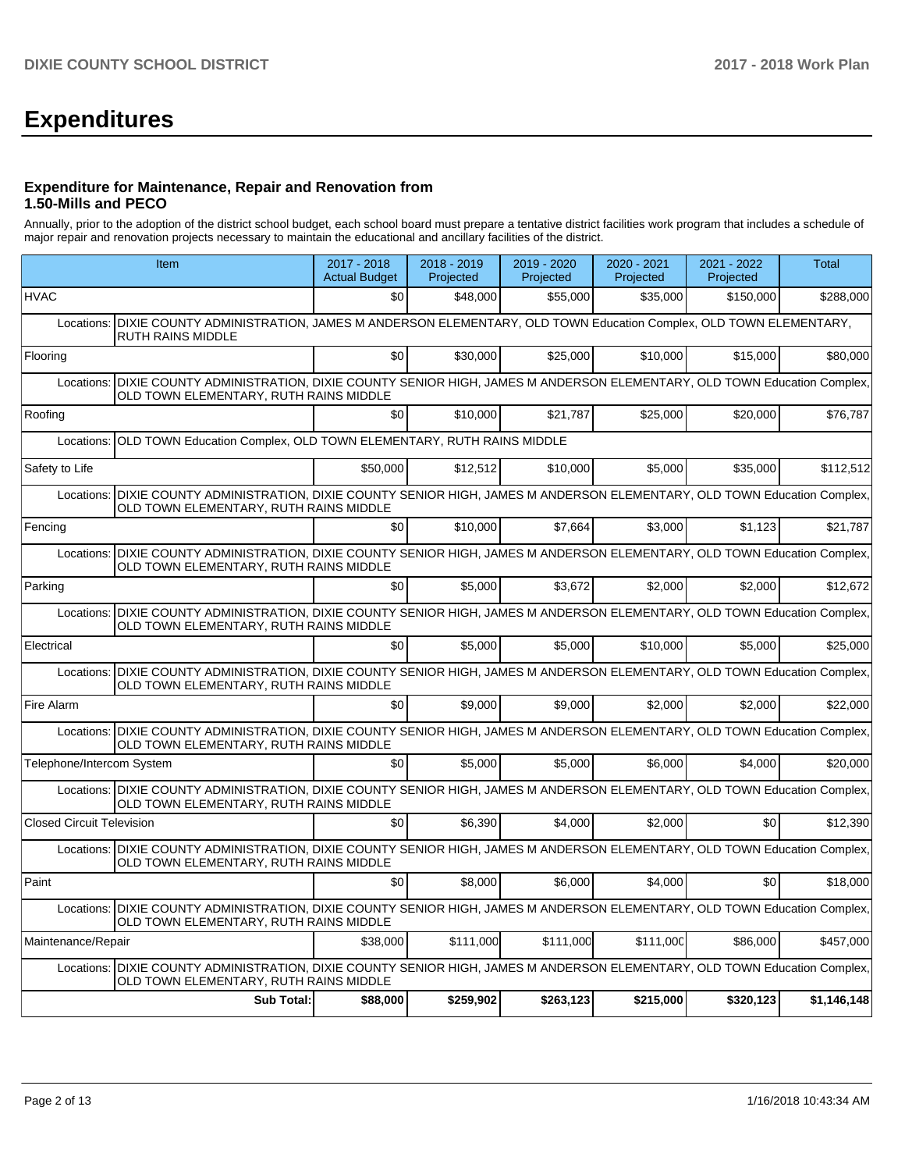# **Expenditures**

### **Expenditure for Maintenance, Repair and Renovation from 1.50-Mills and PECO**

Annually, prior to the adoption of the district school budget, each school board must prepare a tentative district facilities work program that includes a schedule of major repair and renovation projects necessary to maintain the educational and ancillary facilities of the district.

|                                  | Item                                                                                                                                                                   | 2017 - 2018<br><b>Actual Budget</b> | 2018 - 2019<br>Projected | 2019 - 2020<br>Projected | $2020 - 2021$<br>Projected | 2021 - 2022<br>Projected | <b>Total</b> |  |  |  |
|----------------------------------|------------------------------------------------------------------------------------------------------------------------------------------------------------------------|-------------------------------------|--------------------------|--------------------------|----------------------------|--------------------------|--------------|--|--|--|
| <b>HVAC</b>                      |                                                                                                                                                                        | \$0                                 | \$48,000                 | \$55,000                 | \$35,000                   | \$150,000                | \$288,000    |  |  |  |
| Locations:                       | DIXIE COUNTY ADMINISTRATION, JAMES M ANDERSON ELEMENTARY, OLD TOWN Education Complex, OLD TOWN ELEMENTARY,<br>RUTH RAINS MIDDLE                                        |                                     |                          |                          |                            |                          |              |  |  |  |
| Flooring                         |                                                                                                                                                                        | \$0                                 | \$30,000                 | \$25,000                 | \$10,000                   | \$15,000                 | \$80,000     |  |  |  |
| Locations:                       | DIXIE COUNTY ADMINISTRATION, DIXIE COUNTY SENIOR HIGH, JAMES M ANDERSON ELEMENTARY, OLD TOWN Education Complex,<br>OLD TOWN ELEMENTARY, RUTH RAINS MIDDLE              |                                     |                          |                          |                            |                          |              |  |  |  |
| Roofing                          |                                                                                                                                                                        | \$0                                 | \$10,000                 | \$21,787                 | \$25,000                   | \$20,000                 | \$76,787     |  |  |  |
| Locations:                       | OLD TOWN Education Complex, OLD TOWN ELEMENTARY, RUTH RAINS MIDDLE                                                                                                     |                                     |                          |                          |                            |                          |              |  |  |  |
| Safety to Life                   |                                                                                                                                                                        | \$50,000                            | \$12,512                 | \$10,000                 | \$5,000                    | \$35,000                 | \$112,512    |  |  |  |
| Locations:                       | DIXIE COUNTY ADMINISTRATION, DIXIE COUNTY SENIOR HIGH, JAMES M ANDERSON ELEMENTARY, OLD TOWN Education Complex,<br>OLD TOWN ELEMENTARY, RUTH RAINS MIDDLE              |                                     |                          |                          |                            |                          |              |  |  |  |
| Fencing                          |                                                                                                                                                                        | \$0                                 | \$10.000                 | \$7,664                  | \$3,000                    | \$1,123                  | \$21,787     |  |  |  |
|                                  | Locations:   DIXIE COUNTY ADMINISTRATION, DIXIE COUNTY SENIOR HIGH, JAMES M ANDERSON ELEMENTARY, OLD TOWN Education Complex,<br>OLD TOWN ELEMENTARY, RUTH RAINS MIDDLE |                                     |                          |                          |                            |                          |              |  |  |  |
| Parking                          |                                                                                                                                                                        | \$0                                 | \$5.000                  | \$3.672                  | \$2.000                    | \$2.000                  | \$12.672     |  |  |  |
|                                  | Locations: DIXIE COUNTY ADMINISTRATION, DIXIE COUNTY SENIOR HIGH, JAMES M ANDERSON ELEMENTARY, OLD TOWN Education Complex,<br>OLD TOWN ELEMENTARY, RUTH RAINS MIDDLE   |                                     |                          |                          |                            |                          |              |  |  |  |
| Electrical                       |                                                                                                                                                                        | \$0                                 | \$5,000                  | \$5,000                  | \$10,000                   | \$5,000                  | \$25,000     |  |  |  |
| Locations:                       | DIXIE COUNTY ADMINISTRATION, DIXIE COUNTY SENIOR HIGH, JAMES M ANDERSON ELEMENTARY, OLD TOWN Education Complex,<br>OLD TOWN ELEMENTARY, RUTH RAINS MIDDLE              |                                     |                          |                          |                            |                          |              |  |  |  |
| Fire Alarm                       |                                                                                                                                                                        | \$0                                 | \$9.000                  | \$9.000                  | \$2,000                    | \$2,000                  | \$22,000     |  |  |  |
| Locations:                       | DIXIE COUNTY ADMINISTRATION, DIXIE COUNTY SENIOR HIGH, JAMES M ANDERSON ELEMENTARY, OLD TOWN Education Complex,<br>OLD TOWN ELEMENTARY, RUTH RAINS MIDDLE              |                                     |                          |                          |                            |                          |              |  |  |  |
| Telephone/Intercom System        |                                                                                                                                                                        | \$0                                 | \$5,000                  | \$5,000                  | \$6,000                    | \$4,000                  | \$20,000     |  |  |  |
|                                  | Locations: DIXIE COUNTY ADMINISTRATION, DIXIE COUNTY SENIOR HIGH, JAMES M ANDERSON ELEMENTARY, OLD TOWN Education Complex,<br>OLD TOWN ELEMENTARY, RUTH RAINS MIDDLE   |                                     |                          |                          |                            |                          |              |  |  |  |
| <b>Closed Circuit Television</b> |                                                                                                                                                                        | \$0                                 | \$6.390                  | \$4.000                  | \$2.000                    | \$0                      | \$12,390     |  |  |  |
|                                  | Locations: DIXIE COUNTY ADMINISTRATION, DIXIE COUNTY SENIOR HIGH, JAMES M ANDERSON ELEMENTARY, OLD TOWN Education Complex,<br>OLD TOWN ELEMENTARY, RUTH RAINS MIDDLE   |                                     |                          |                          |                            |                          |              |  |  |  |
| Paint                            |                                                                                                                                                                        | \$0                                 | \$8,000                  | \$6,000                  | \$4,000                    | \$0                      | \$18,000     |  |  |  |
|                                  | Locations: DIXIE COUNTY ADMINISTRATION, DIXIE COUNTY SENIOR HIGH, JAMES M ANDERSON ELEMENTARY, OLD TOWN Education Complex,<br>OLD TOWN ELEMENTARY, RUTH RAINS MIDDLE   |                                     |                          |                          |                            |                          |              |  |  |  |
| Maintenance/Repair               |                                                                                                                                                                        | \$38,000                            | \$111,000                | \$111,000                | \$111,000                  | \$86,000                 | \$457,000    |  |  |  |
|                                  | Locations:   DIXIE COUNTY ADMINISTRATION, DIXIE COUNTY SENIOR HIGH, JAMES M ANDERSON ELEMENTARY, OLD TOWN Education Complex,<br>OLD TOWN ELEMENTARY, RUTH RAINS MIDDLE |                                     |                          |                          |                            |                          |              |  |  |  |
|                                  | Sub Total:                                                                                                                                                             | \$88,000                            | \$259,902                | \$263,123                | \$215,000                  | \$320,123                | \$1,146,148  |  |  |  |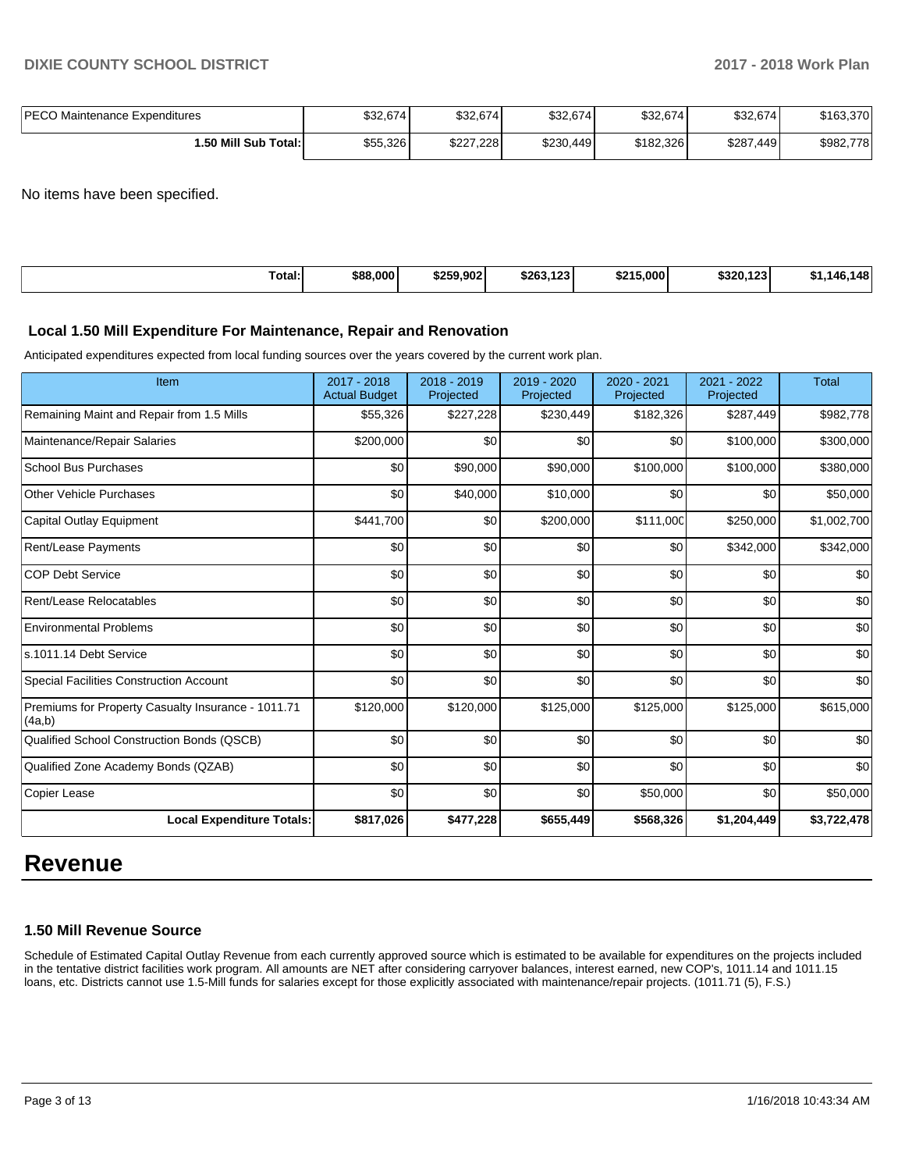| <b>IPECO Maintenance Expenditures</b> | \$32.674 | \$32,674  | \$32,674  | \$32,674  | \$32,674  | \$163.370 |
|---------------------------------------|----------|-----------|-----------|-----------|-----------|-----------|
| I.50 Mill Sub Total:İ                 | \$55,326 | \$227,228 | \$230,449 | \$182,326 | \$287,449 | \$982,778 |

No items have been specified.

| $\sim$<br>[Total:<br>. | \$88,000 | \$259.902 | $\overline{a}$<br>\$263.<br>149. | \$215,000 | \$320.123 | 148<br>I 41<br>- 1 |
|------------------------|----------|-----------|----------------------------------|-----------|-----------|--------------------|
|                        |          |           |                                  |           |           |                    |

#### **Local 1.50 Mill Expenditure For Maintenance, Repair and Renovation**

Anticipated expenditures expected from local funding sources over the years covered by the current work plan.

| Item                                                         | 2017 - 2018<br><b>Actual Budget</b> | 2018 - 2019<br>Projected | 2019 - 2020<br>Projected | 2020 - 2021<br>Projected | 2021 - 2022<br>Projected | <b>Total</b> |
|--------------------------------------------------------------|-------------------------------------|--------------------------|--------------------------|--------------------------|--------------------------|--------------|
| Remaining Maint and Repair from 1.5 Mills                    | \$55,326                            | \$227,228                | \$230,449                | \$182,326                | \$287,449                | \$982,778    |
| Maintenance/Repair Salaries                                  | \$200,000                           | \$0                      | \$0                      | \$0                      | \$100,000                | \$300,000    |
| <b>School Bus Purchases</b>                                  | \$0                                 | \$90,000                 | \$90,000                 | \$100,000                | \$100,000                | \$380,000    |
| <b>Other Vehicle Purchases</b>                               | \$0                                 | \$40,000                 | \$10,000                 | \$0                      | \$0                      | \$50,000     |
| Capital Outlay Equipment                                     | \$441,700                           | \$0                      | \$200,000                | \$111,000                | \$250,000                | \$1,002,700  |
| Rent/Lease Payments                                          | \$0                                 | \$0                      | \$0                      | \$0                      | \$342,000                | \$342,000    |
| <b>COP Debt Service</b>                                      | \$0                                 | \$0                      | \$0                      | \$0                      | \$0                      | \$0          |
| Rent/Lease Relocatables                                      | \$0                                 | \$0                      | \$0                      | \$0                      | \$0                      | \$0          |
| <b>Environmental Problems</b>                                | \$0                                 | \$0                      | \$0                      | \$0                      | \$0                      | \$0          |
| ls.1011.14 Debt Service                                      | \$0                                 | \$0                      | \$0                      | \$0                      | \$0                      | \$0          |
| Special Facilities Construction Account                      | \$0                                 | \$0                      | \$0                      | \$0                      | \$0                      | \$0          |
| Premiums for Property Casualty Insurance - 1011.71<br>(4a,b) | \$120,000                           | \$120,000                | \$125,000                | \$125,000                | \$125,000                | \$615,000    |
| Qualified School Construction Bonds (QSCB)                   | \$0                                 | \$0                      | \$0                      | \$0                      | \$0                      | \$0          |
| Qualified Zone Academy Bonds (QZAB)                          | \$0                                 | \$0                      | \$0                      | \$0                      | \$0                      | \$0          |
| Copier Lease                                                 | \$0                                 | \$0                      | \$0                      | \$50,000                 | \$0                      | \$50,000     |
| <b>Local Expenditure Totals:</b>                             | \$817,026                           | \$477,228                | \$655,449                | \$568,326                | \$1,204,449              | \$3,722,478  |

# **Revenue**

# **1.50 Mill Revenue Source**

Schedule of Estimated Capital Outlay Revenue from each currently approved source which is estimated to be available for expenditures on the projects included in the tentative district facilities work program. All amounts are NET after considering carryover balances, interest earned, new COP's, 1011.14 and 1011.15 loans, etc. Districts cannot use 1.5-Mill funds for salaries except for those explicitly associated with maintenance/repair projects. (1011.71 (5), F.S.)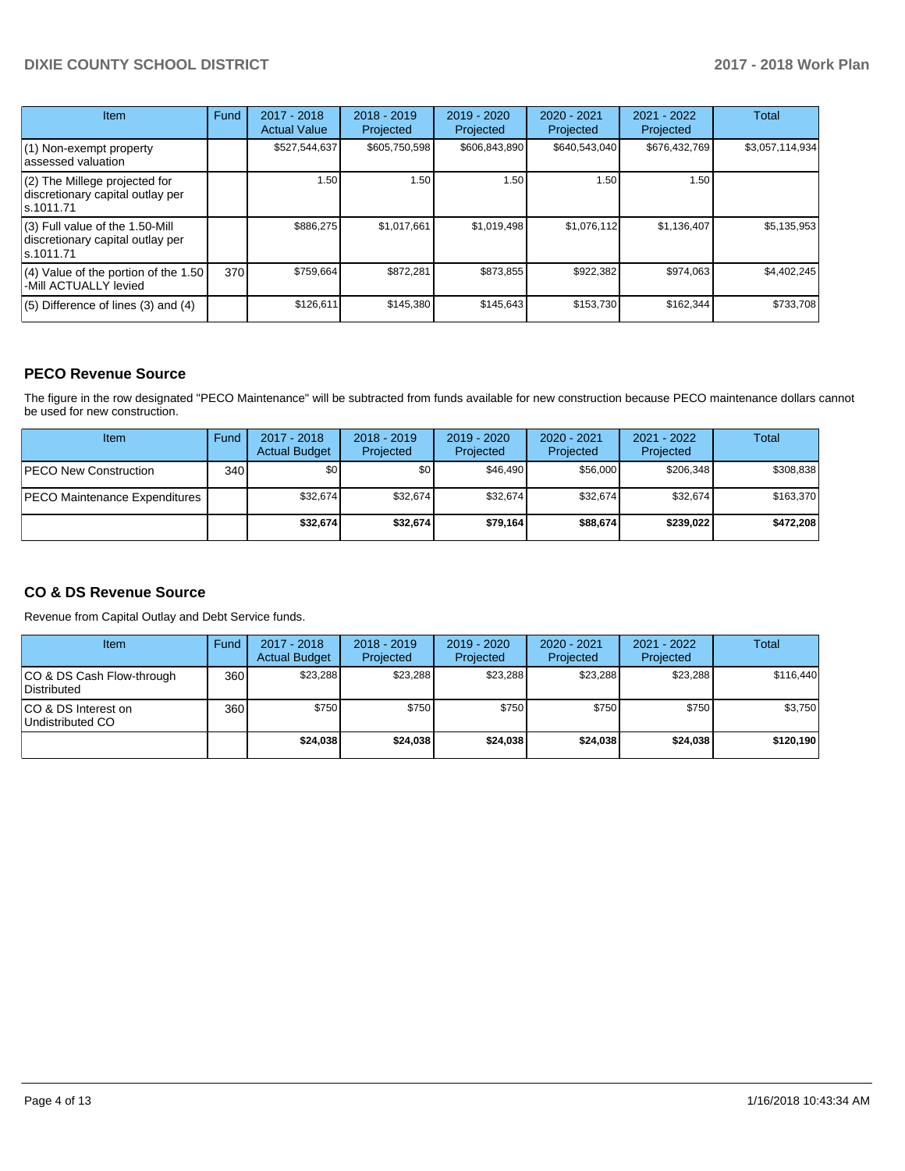# **DIXIE COUNTY SCHOOL DISTRICT 2017 - 2018 Work Plan**

| <b>Item</b>                                                                       | Fund | 2017 - 2018<br><b>Actual Value</b> | $2018 - 2019$<br>Projected | 2019 - 2020<br>Projected | $2020 - 2021$<br>Projected | 2021 - 2022<br>Projected | <b>Total</b>    |
|-----------------------------------------------------------------------------------|------|------------------------------------|----------------------------|--------------------------|----------------------------|--------------------------|-----------------|
| $(1)$ Non-exempt property<br>lassessed valuation                                  |      | \$527,544,637                      | \$605,750,598              | \$606,843,890            | \$640,543,040              | \$676,432,769            | \$3,057,114,934 |
| (2) The Millege projected for<br>discretionary capital outlay per<br>ls.1011.71   |      | 1.50                               | 1.50                       | 1.50                     | 1.50                       | 1.50                     |                 |
| (3) Full value of the 1.50-Mill<br>discretionary capital outlay per<br>ls.1011.71 |      | \$886,275                          | \$1,017,661                | \$1,019,498              | \$1,076,112                | \$1,136,407              | \$5,135,953     |
| (4) Value of the portion of the 1.50<br>-Mill ACTUALLY levied                     | 370I | \$759,664                          | \$872,281                  | \$873,855                | \$922,382                  | \$974,063                | \$4,402,245     |
| $(5)$ Difference of lines $(3)$ and $(4)$                                         |      | \$126,611                          | \$145,380                  | \$145,643                | \$153,730                  | \$162,344                | \$733,708       |

# **PECO Revenue Source**

The figure in the row designated "PECO Maintenance" will be subtracted from funds available for new construction because PECO maintenance dollars cannot be used for new construction.

| Item                          | Fund             | $2017 - 2018$<br><b>Actual Budget</b> | $2018 - 2019$<br>Projected | 2019 - 2020<br>Projected | $2020 - 2021$<br>Projected | $2021 - 2022$<br>Projected | <b>Total</b> |
|-------------------------------|------------------|---------------------------------------|----------------------------|--------------------------|----------------------------|----------------------------|--------------|
| <b>IPECO New Construction</b> | 340 <sup>1</sup> | \$0                                   | \$0 <sub>1</sub>           | \$46.490                 | \$56,000                   | \$206,348                  | \$308,838    |
| PECO Maintenance Expenditures |                  | \$32,674                              | \$32,674                   | \$32,674                 | \$32,674                   | \$32,674                   | \$163,370    |
|                               |                  | \$32,674                              | \$32,674                   | \$79.164                 | \$88,674                   | \$239,022                  | \$472,208    |

# **CO & DS Revenue Source**

Revenue from Capital Outlay and Debt Service funds.

| <b>Item</b>                               | Fund | $2017 - 2018$<br><b>Actual Budget</b> | $2018 - 2019$<br>Projected | 2019 - 2020<br>Projected | $2020 - 2021$<br>Projected | 2021 - 2022<br>Projected | Total     |
|-------------------------------------------|------|---------------------------------------|----------------------------|--------------------------|----------------------------|--------------------------|-----------|
| ICO & DS Cash Flow-through<br>Distributed | 360  | \$23.288                              | \$23.288                   | \$23.288                 | \$23,288                   | \$23,288                 | \$116.440 |
| ICO & DS Interest on<br>Undistributed CO  | 360  | \$750                                 | \$750                      | \$750                    | \$750                      | \$750                    | \$3,750   |
|                                           |      | \$24,038                              | \$24.038                   | \$24.038                 | \$24,038                   | \$24.038                 | \$120,190 |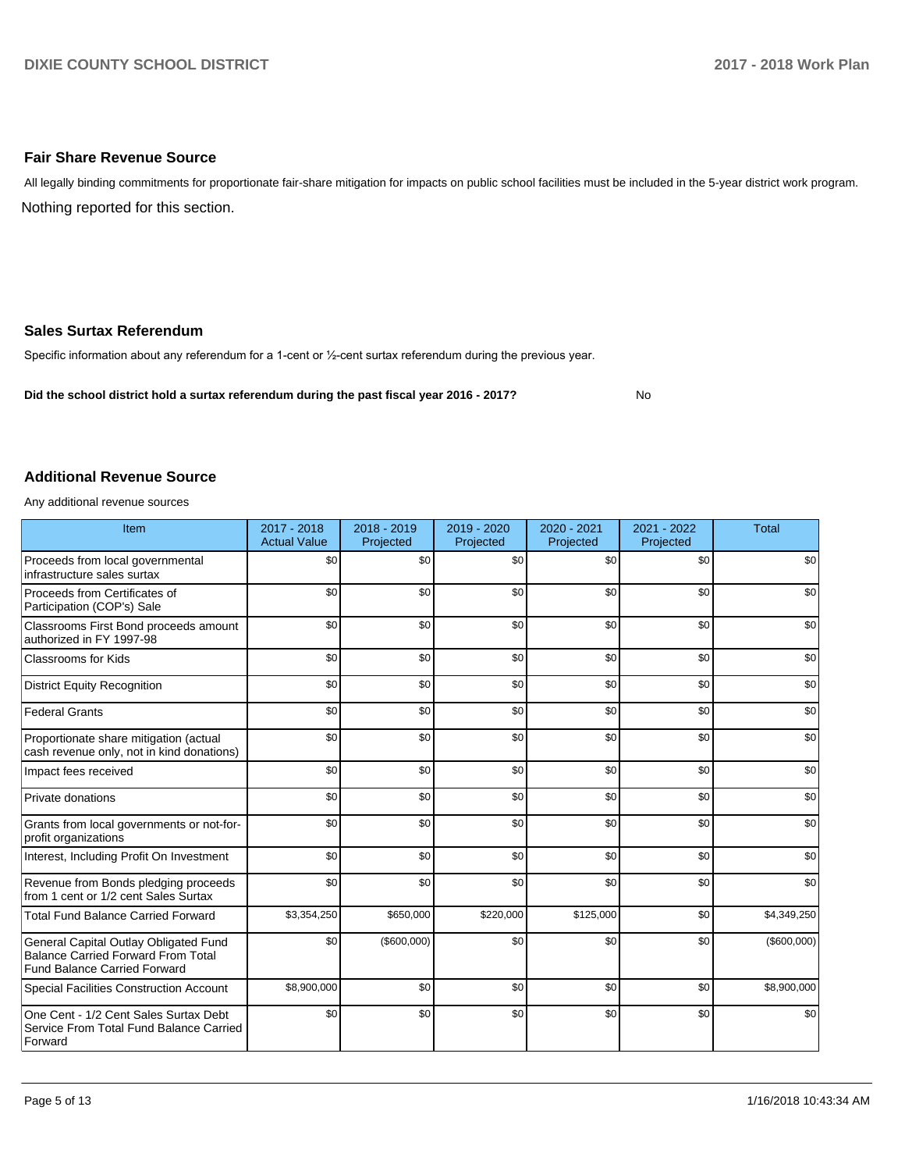### **Fair Share Revenue Source**

Nothing reported for this section. All legally binding commitments for proportionate fair-share mitigation for impacts on public school facilities must be included in the 5-year district work program.

#### **Sales Surtax Referendum**

Specific information about any referendum for a 1-cent or 1/2-cent surtax referendum during the previous year.

**Did the school district hold a surtax referendum during the past fiscal year 2016 - 2017?**

No

#### **Additional Revenue Source**

Any additional revenue sources

| Item                                                                                                                      | 2017 - 2018<br><b>Actual Value</b> | 2018 - 2019<br>Projected | 2019 - 2020<br>Projected | $2020 - 2021$<br>Projected | $2021 - 2022$<br>Projected | <b>Total</b> |
|---------------------------------------------------------------------------------------------------------------------------|------------------------------------|--------------------------|--------------------------|----------------------------|----------------------------|--------------|
| Proceeds from local governmental<br>infrastructure sales surtax                                                           | \$0                                | \$0                      | \$0                      | \$0                        | \$0                        | \$0          |
| Proceeds from Certificates of<br>Participation (COP's) Sale                                                               | \$0                                | \$0                      | \$0                      | \$0                        | \$0                        | \$0          |
| Classrooms First Bond proceeds amount<br>authorized in FY 1997-98                                                         | \$0                                | \$0                      | \$0                      | \$0                        | \$0                        | \$0          |
| Classrooms for Kids                                                                                                       | \$0                                | \$0                      | \$0                      | \$0                        | \$0                        | \$0          |
| <b>District Equity Recognition</b>                                                                                        | \$0                                | \$0                      | \$0                      | \$0                        | \$0                        | \$0          |
| <b>Federal Grants</b>                                                                                                     | \$0                                | \$0                      | \$0                      | \$0                        | \$0                        | \$0          |
| Proportionate share mitigation (actual<br>cash revenue only, not in kind donations)                                       | \$0                                | \$0                      | \$0                      | \$0                        | \$0                        | \$0          |
| Impact fees received                                                                                                      | \$0                                | \$0                      | \$0                      | \$0                        | \$0                        | \$0          |
| Private donations                                                                                                         | \$0                                | \$0                      | \$0                      | \$0                        | \$0                        | \$0          |
| Grants from local governments or not-for-<br>profit organizations                                                         | \$0                                | \$0                      | \$0                      | \$0                        | \$0                        | \$0          |
| Interest, Including Profit On Investment                                                                                  | \$0                                | \$0                      | \$0                      | \$0                        | \$0                        | \$0          |
| Revenue from Bonds pledging proceeds<br>from 1 cent or 1/2 cent Sales Surtax                                              | \$0                                | \$0                      | \$0                      | \$0                        | \$0                        | \$0          |
| <b>Total Fund Balance Carried Forward</b>                                                                                 | \$3,354,250                        | \$650,000                | \$220,000                | \$125,000                  | \$0                        | \$4,349,250  |
| General Capital Outlay Obligated Fund<br><b>Balance Carried Forward From Total</b><br><b>Fund Balance Carried Forward</b> | \$0                                | (\$600,000)              | \$0                      | \$0                        | \$0                        | (\$600,000)  |
| <b>Special Facilities Construction Account</b>                                                                            | \$8,900,000                        | \$0                      | \$0                      | \$0                        | \$0                        | \$8,900,000  |
| One Cent - 1/2 Cent Sales Surtax Debt<br>Service From Total Fund Balance Carried<br>Forward                               | \$0                                | \$0                      | \$0                      | \$0                        | \$0                        | \$0          |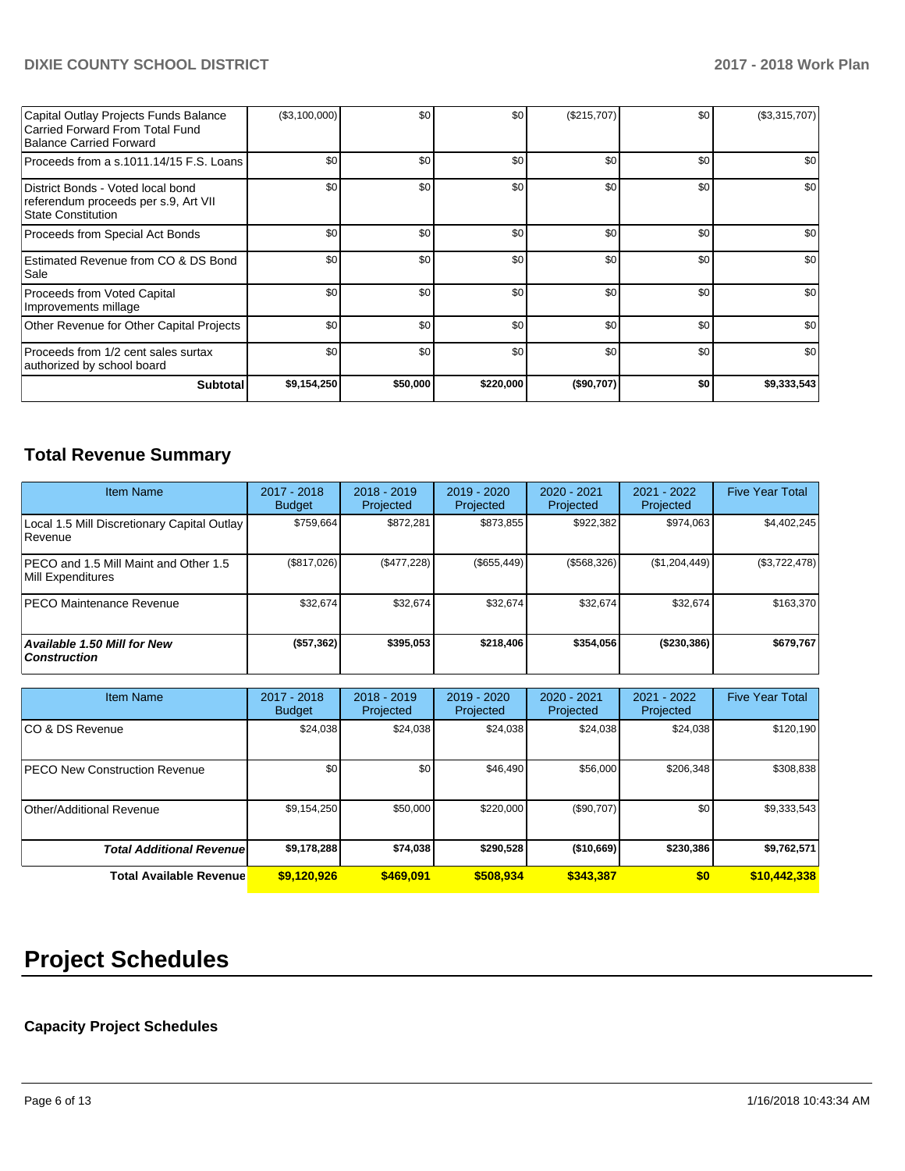# **DIXIE COUNTY SCHOOL DISTRICT 2017 - 2018 Work Plan**

| Capital Outlay Projects Funds Balance<br>Carried Forward From Total Fund<br>Balance Carried Forward | (\$3,100,000) | \$0      | \$0       | (\$215,707) | \$0 <sub>1</sub> | (\$3,315,707) |
|-----------------------------------------------------------------------------------------------------|---------------|----------|-----------|-------------|------------------|---------------|
| Proceeds from a s.1011.14/15 F.S. Loans I                                                           | \$0           | \$0      | \$0       | \$0         | \$0 <sub>1</sub> | \$0           |
| District Bonds - Voted local bond<br>referendum proceeds per s.9, Art VII<br>State Constitution     | \$0           | \$0      | \$0       | \$0         | \$0 <sub>1</sub> | \$0           |
| Proceeds from Special Act Bonds                                                                     | \$0           | \$0      | \$0       | \$0         | \$0              | \$0           |
| Estimated Revenue from CO & DS Bond<br> Sale                                                        | \$0           | \$0      | \$0       | \$0         | \$0 <sub>1</sub> | \$0           |
| Proceeds from Voted Capital<br>Improvements millage                                                 | \$0           | \$0      | \$0       | \$0         | \$0              | \$0           |
| Other Revenue for Other Capital Projects                                                            | \$0           | \$0      | \$0       | \$0         | \$0              | \$0           |
| Proceeds from 1/2 cent sales surtax<br>authorized by school board                                   | \$0           | \$0      | \$0       | \$0         | \$0              | \$0           |
| <b>Subtotal</b>                                                                                     | \$9,154,250   | \$50,000 | \$220,000 | (\$90,707)  | \$0              | \$9,333,543   |

# **Total Revenue Summary**

| <b>Item Name</b>                                              | $2017 - 2018$<br><b>Budget</b> | $2018 - 2019$<br>Projected | 2019 - 2020<br>Projected | $2020 - 2021$<br>Projected | 2021 - 2022<br>Projected | <b>Five Year Total</b> |
|---------------------------------------------------------------|--------------------------------|----------------------------|--------------------------|----------------------------|--------------------------|------------------------|
| Local 1.5 Mill Discretionary Capital Outlay<br><b>Revenue</b> | \$759.664                      | \$872.281                  | \$873.855                | \$922.382                  | \$974.063                | \$4,402,245            |
| PECO and 1.5 Mill Maint and Other 1.5<br>Mill Expenditures    | (\$817,026)                    | (\$477,228)                | (\$655,449)              | (\$568,326)                | (\$1,204,449)            | (\$3,722,478)          |
| <b>PECO Maintenance Revenue</b>                               | \$32,674                       | \$32,674                   | \$32,674                 | \$32.674                   | \$32.674                 | \$163,370              |
| <b>Available 1.50 Mill for New</b><br>  Construction          | (\$57,362)                     | \$395.053                  | \$218,406                | \$354,056                  | (\$230,386)              | \$679,767              |

| Item Name                             | $2017 - 2018$<br><b>Budget</b> | $2018 - 2019$<br>Projected | $2019 - 2020$<br>Projected | $2020 - 2021$<br>Projected | 2021 - 2022<br>Projected | <b>Five Year Total</b> |
|---------------------------------------|--------------------------------|----------------------------|----------------------------|----------------------------|--------------------------|------------------------|
| ICO & DS Revenue                      | \$24,038                       | \$24,038                   | \$24,038                   | \$24,038                   | \$24,038                 | \$120,190              |
| <b>IPECO New Construction Revenue</b> | \$0                            | \$0                        | \$46,490                   | \$56,000                   | \$206,348                | \$308,838              |
| Other/Additional Revenue              | \$9,154,250                    | \$50,000                   | \$220,000                  | (\$90,707)                 | \$0 <sub>1</sub>         | \$9,333,543            |
| <b>Total Additional Revenuel</b>      | \$9,178,288                    | \$74,038                   | \$290,528                  | (\$10,669)                 | \$230,386                | \$9,762,571            |
| <b>Total Available Revenue</b>        | \$9,120,926                    | \$469,091                  | \$508.934                  | \$343,387                  | \$0                      | \$10,442,338           |

# **Project Schedules**

# **Capacity Project Schedules**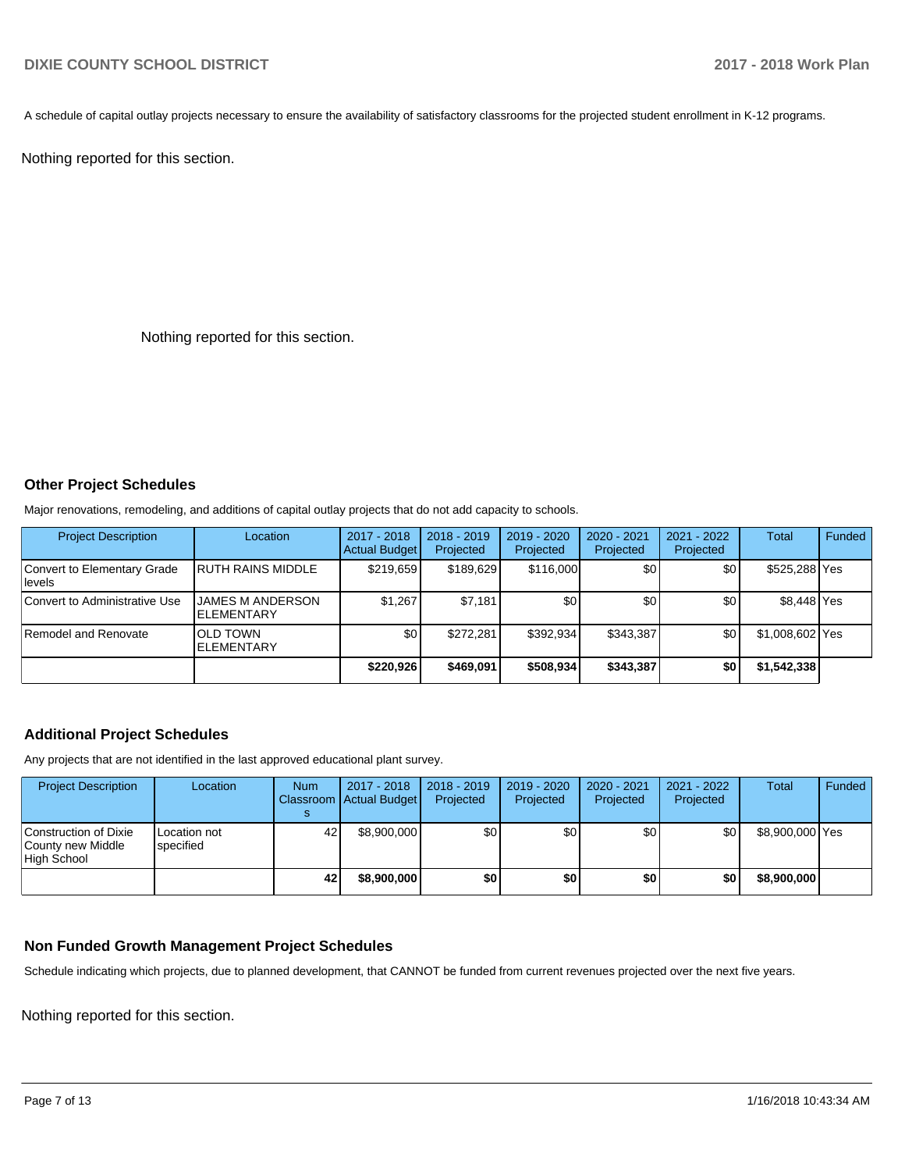A schedule of capital outlay projects necessary to ensure the availability of satisfactory classrooms for the projected student enrollment in K-12 programs.

Nothing reported for this section.

Nothing reported for this section.

#### **Other Project Schedules**

Major renovations, remodeling, and additions of capital outlay projects that do not add capacity to schools.

| <b>Project Description</b>              | Location                              | 2017 - 2018<br><b>Actual Budget</b> | $2018 - 2019$<br>Projected | 2019 - 2020<br>Projected | 2020 - 2021<br>Projected | 2021 - 2022<br>Projected | Total           | Funded |
|-----------------------------------------|---------------------------------------|-------------------------------------|----------------------------|--------------------------|--------------------------|--------------------------|-----------------|--------|
| Convert to Elementary Grade<br>llevels. | <b>RUTH RAINS MIDDLE</b>              | \$219.659                           | \$189.629                  | \$116,000                | \$0                      | \$0                      | \$525,288 Yes   |        |
| Convert to Administrative Use           | JAMES M ANDERSON<br><b>ELEMENTARY</b> | \$1,267                             | \$7,181                    | \$0                      | \$0                      | \$0                      | \$8.448 Yes     |        |
| Remodel and Renovate                    | <b>OLD TOWN</b><br>ELEMENTARY         | \$0                                 | \$272,281                  | \$392.934                | \$343,387                | \$0                      | \$1,008,602 Yes |        |
|                                         |                                       | \$220.926                           | \$469.091                  | \$508,934                | \$343,387                | \$0                      | \$1,542,338     |        |

### **Additional Project Schedules**

Any projects that are not identified in the last approved educational plant survey.

| <b>Project Description</b>                                | Location                  | <b>Num</b> | 2017 - 2018<br>Classroom Actual Budget | $2018 - 2019$<br>Projected | 2019 - 2020<br>Projected | 2020 - 2021<br>Projected | 2021 - 2022<br>Projected | Total           | Funded |
|-----------------------------------------------------------|---------------------------|------------|----------------------------------------|----------------------------|--------------------------|--------------------------|--------------------------|-----------------|--------|
| Construction of Dixie<br>County new Middle<br>High School | Location not<br>specified | 42         | \$8,900,000                            | \$0                        | \$0                      | \$0                      | \$0                      | \$8,900,000 Yes |        |
|                                                           |                           | 42         | \$8,900,000                            | \$0                        | \$0                      | \$0                      | \$0                      | \$8,900,000     |        |

# **Non Funded Growth Management Project Schedules**

Schedule indicating which projects, due to planned development, that CANNOT be funded from current revenues projected over the next five years.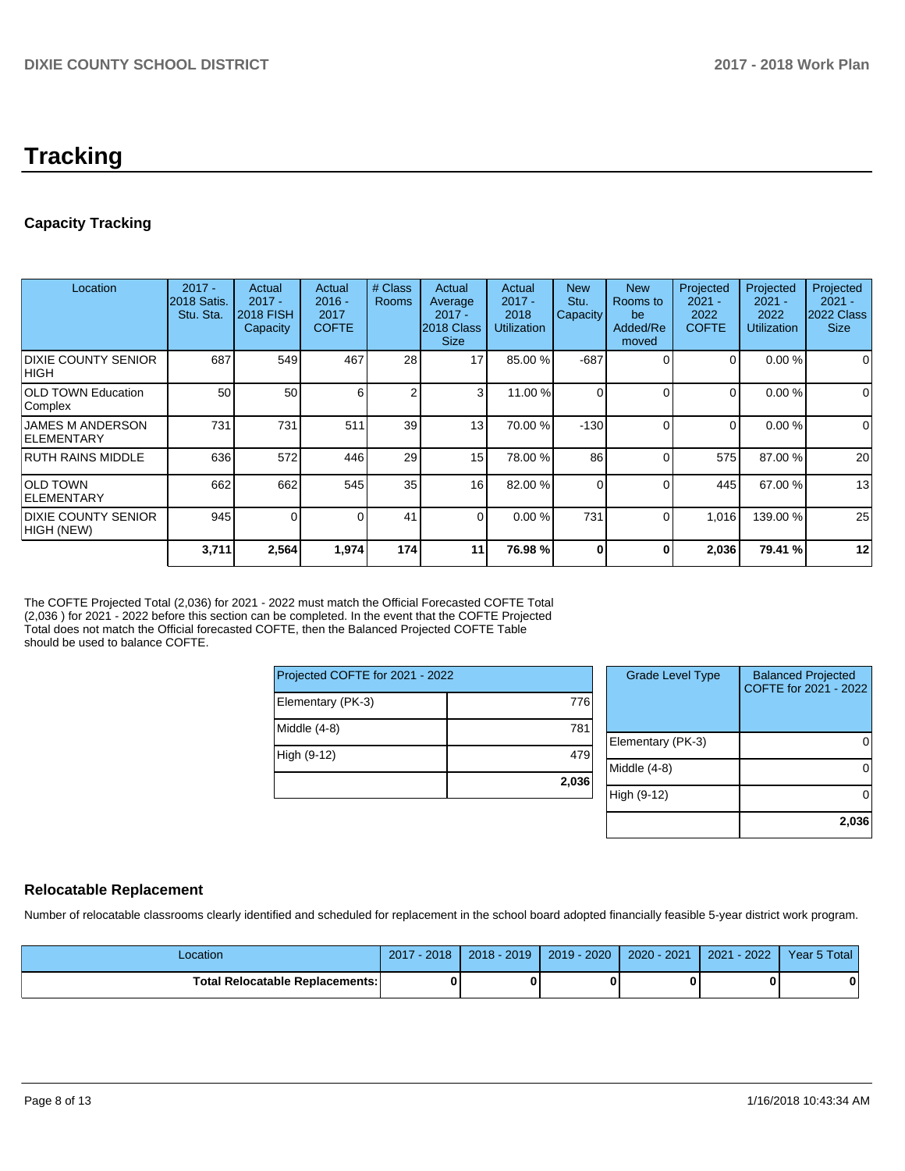# **Tracking**

# **Capacity Tracking**

| Location                                     | $2017 -$<br>2018 Satis.<br>Stu. Sta. | Actual<br>$2017 -$<br><b>2018 FISH</b><br>Capacity | Actual<br>$2016 -$<br>2017<br><b>COFTE</b> | # Class<br><b>Rooms</b> | Actual<br>Average<br>$2017 -$<br>2018 Class<br><b>Size</b> | Actual<br>$2017 -$<br>2018<br><b>Utilization</b> | <b>New</b><br>Stu.<br>Capacity | <b>New</b><br>Rooms to<br>be<br>Added/Re<br>moved | Projected<br>$2021 -$<br>2022<br><b>COFTE</b> | Projected<br>$2021 -$<br>2022<br><b>Utilization</b> | Projected<br>$2021 -$<br>2022 Class<br><b>Size</b> |
|----------------------------------------------|--------------------------------------|----------------------------------------------------|--------------------------------------------|-------------------------|------------------------------------------------------------|--------------------------------------------------|--------------------------------|---------------------------------------------------|-----------------------------------------------|-----------------------------------------------------|----------------------------------------------------|
| <b>DIXIE COUNTY SENIOR</b><br><b>HIGH</b>    | 687                                  | 549                                                | 467                                        | 28                      | 17                                                         | 85.00 %                                          | $-687$                         | 0                                                 |                                               | 0.00%                                               | 0                                                  |
| <b>OLD TOWN Education</b><br>Complex         | 50                                   | 50                                                 | 6                                          | 2                       | 3                                                          | 11.00 %                                          | $\Omega$                       | 0                                                 | 0                                             | 0.00%                                               | $\Omega$                                           |
| <b>JAMES M ANDERSON</b><br><b>ELEMENTARY</b> | 731                                  | 731                                                | 511                                        | 39                      | 13                                                         | 70.00 %                                          | $-130$                         | $\Omega$                                          | $\Omega$                                      | 0.00 %                                              | $\Omega$                                           |
| <b>RUTH RAINS MIDDLE</b>                     | 636                                  | 572                                                | 446                                        | 29                      | 15                                                         | 78.00 %                                          | 86                             | $\Omega$                                          | 575                                           | 87.00 %                                             | 20                                                 |
| <b>OLD TOWN</b><br>IELEMENTARY               | 662                                  | 662                                                | 545                                        | 35                      | 16                                                         | 82.00 %                                          | $\Omega$                       | 0                                                 | 445                                           | 67.00 %                                             | 13                                                 |
| <b>DIXIE COUNTY SENIOR</b><br>HIGH (NEW)     | 945                                  |                                                    |                                            | 41                      | $\Omega$                                                   | 0.00 %                                           | 731                            | $\Omega$                                          | 1,016                                         | 139.00 %                                            | 25                                                 |
|                                              | 3,711                                | 2,564                                              | 1,974                                      | 174                     | 11                                                         | 76.98 %                                          | $\Omega$                       | 0                                                 | 2,036                                         | 79.41 %                                             | 12                                                 |

The COFTE Projected Total (2,036) for 2021 - 2022 must match the Official Forecasted COFTE Total (2,036 ) for 2021 - 2022 before this section can be completed. In the event that the COFTE Projected Total does not match the Official forecasted COFTE, then the Balanced Projected COFTE Table should be used to balance COFTE.

| Projected COFTE for 2021 - 2022 |       |  |  |  |  |
|---------------------------------|-------|--|--|--|--|
| Elementary (PK-3)               | 776   |  |  |  |  |
| Middle (4-8)                    | 781   |  |  |  |  |
| High (9-12)                     | 479   |  |  |  |  |
|                                 | 2,036 |  |  |  |  |

| <b>Grade Level Type</b> | <b>Balanced Projected</b><br>COFTE for 2021 - 2022 |
|-------------------------|----------------------------------------------------|
|                         |                                                    |
|                         |                                                    |
| Elementary (PK-3)       |                                                    |
| Middle (4-8)            |                                                    |
| High (9-12)             |                                                    |
|                         | 2,036                                              |

# **Relocatable Replacement**

Number of relocatable classrooms clearly identified and scheduled for replacement in the school board adopted financially feasible 5-year district work program.

| -ocation                          | $-2018$<br>2017 | 2018 - 2019 | $2019 - 2020$ | 2020 - 2021 | $-2022$<br>2021 | Year 5 Total |
|-----------------------------------|-----------------|-------------|---------------|-------------|-----------------|--------------|
| Total Relocatable Replacements: I |                 |             |               |             |                 |              |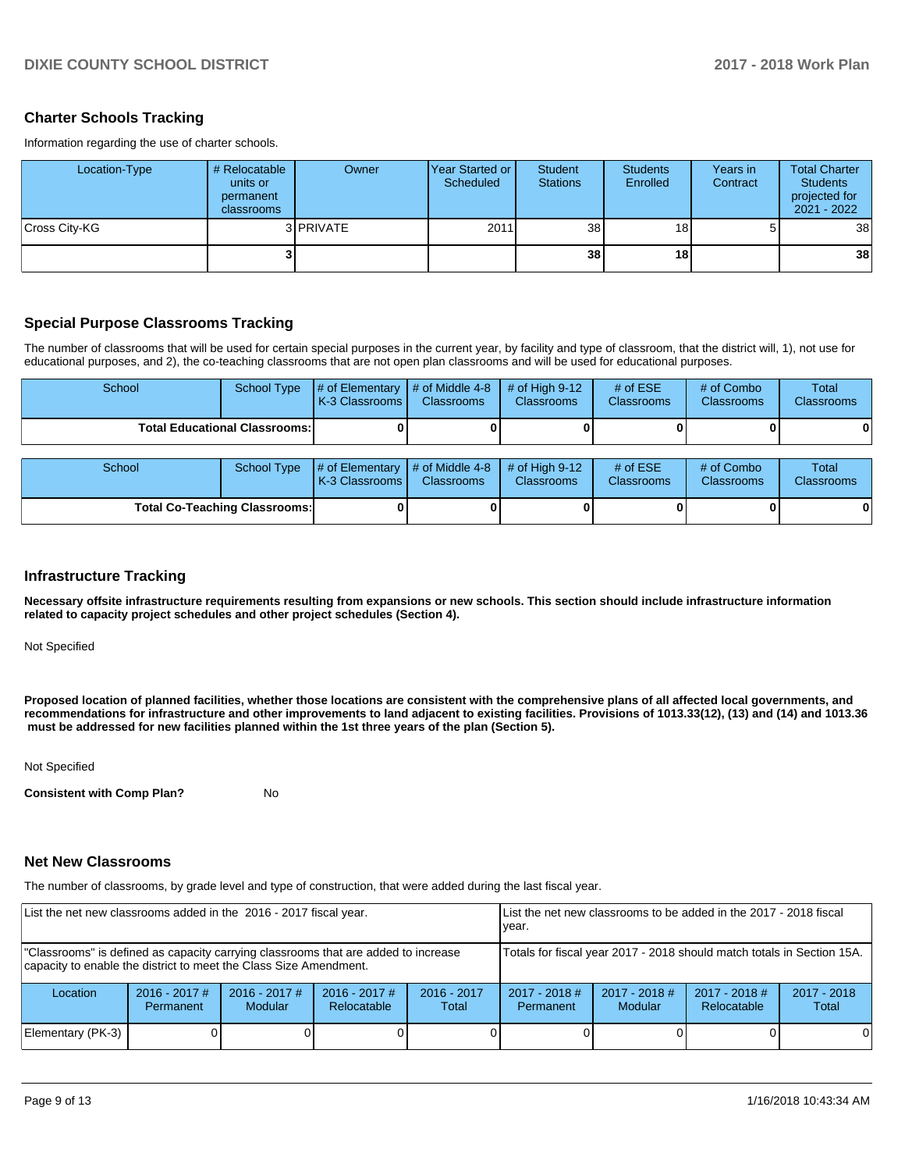# **Charter Schools Tracking**

Information regarding the use of charter schools.

| Location-Type | # Relocatable<br>units or<br>permanent<br>classrooms | Owner     | <b>Year Started or I</b><br>Scheduled | <b>Student</b><br><b>Stations</b> | <b>Students</b><br>Enrolled | Years in<br>Contract | <b>Total Charter</b><br><b>Students</b><br>projected for<br>2021 - 2022 |
|---------------|------------------------------------------------------|-----------|---------------------------------------|-----------------------------------|-----------------------------|----------------------|-------------------------------------------------------------------------|
| Cross City-KG |                                                      | 3 PRIVATE | 2011                                  | 38 <sup>1</sup>                   | 18                          |                      | 38 <sup>1</sup>                                                         |
|               |                                                      |           |                                       | 38 <sup>1</sup>                   | 18                          |                      | 38 <sup>1</sup>                                                         |

#### **Special Purpose Classrooms Tracking**

The number of classrooms that will be used for certain special purposes in the current year, by facility and type of classroom, that the district will, 1), not use for educational purposes, and 2), the co-teaching classrooms that are not open plan classrooms and will be used for educational purposes.

| School                               | School Type | $\parallel \#$ of Elementary $\parallel \#$ of Middle 4-8 $\parallel \#$ of High 9-12<br>K-3 Classrooms I | <b>Classrooms</b> | <b>Classrooms</b> | # of $ESE$<br><b>Classrooms</b> | # of Combo<br><b>Classrooms</b> | Total<br><b>Classrooms</b> |
|--------------------------------------|-------------|-----------------------------------------------------------------------------------------------------------|-------------------|-------------------|---------------------------------|---------------------------------|----------------------------|
| <b>Total Educational Classrooms:</b> |             |                                                                                                           |                   |                   |                                 |                                 | 0                          |

| School                               |  | School Type $\mu$ of Elementary $\mu$ of Middle 4-8 $\mu$ of High 9-12<br>K-3 Classrooms | <b>Classrooms</b> | <b>Classrooms</b> | # of $ESE$<br><b>Classrooms</b> | # of Combo<br><b>Classrooms</b> | <b>Total</b><br><b>Classrooms</b> |
|--------------------------------------|--|------------------------------------------------------------------------------------------|-------------------|-------------------|---------------------------------|---------------------------------|-----------------------------------|
| <b>Total Co-Teaching Classrooms:</b> |  |                                                                                          |                   |                   |                                 |                                 | 0                                 |

#### **Infrastructure Tracking**

**Necessary offsite infrastructure requirements resulting from expansions or new schools. This section should include infrastructure information related to capacity project schedules and other project schedules (Section 4).** 

Not Specified

**Proposed location of planned facilities, whether those locations are consistent with the comprehensive plans of all affected local governments, and recommendations for infrastructure and other improvements to land adjacent to existing facilities. Provisions of 1013.33(12), (13) and (14) and 1013.36 must be addressed for new facilities planned within the 1st three years of the plan (Section 5).** 

Not Specified

**Consistent with Comp Plan?** No

#### **Net New Classrooms**

The number of classrooms, by grade level and type of construction, that were added during the last fiscal year.

| List the net new classrooms added in the 2016 - 2017 fiscal year.                                                                                       |                              |                            | List the net new classrooms to be added in the 2017 - 2018 fiscal<br>vear. |                        |                                                                                                                        |  |  |   |
|---------------------------------------------------------------------------------------------------------------------------------------------------------|------------------------------|----------------------------|----------------------------------------------------------------------------|------------------------|------------------------------------------------------------------------------------------------------------------------|--|--|---|
| "Classrooms" is defined as capacity carrying classrooms that are added to increase<br>capacity to enable the district to meet the Class Size Amendment. |                              |                            | Totals for fiscal year 2017 - 2018 should match totals in Section 15A.     |                        |                                                                                                                        |  |  |   |
| Location                                                                                                                                                | $2016 - 2017$ #<br>Permanent | $2016 - 2017$ #<br>Modular | $2016 - 2017$ #<br>Relocatable                                             | $2016 - 2017$<br>Total | $2017 - 2018$ #<br>$2017 - 2018$ #<br>$2017 - 2018$ #<br>$2017 - 2018$<br>Relocatable<br>Modular<br>Total<br>Permanent |  |  |   |
| Elementary (PK-3)                                                                                                                                       |                              |                            |                                                                            |                        |                                                                                                                        |  |  | 0 |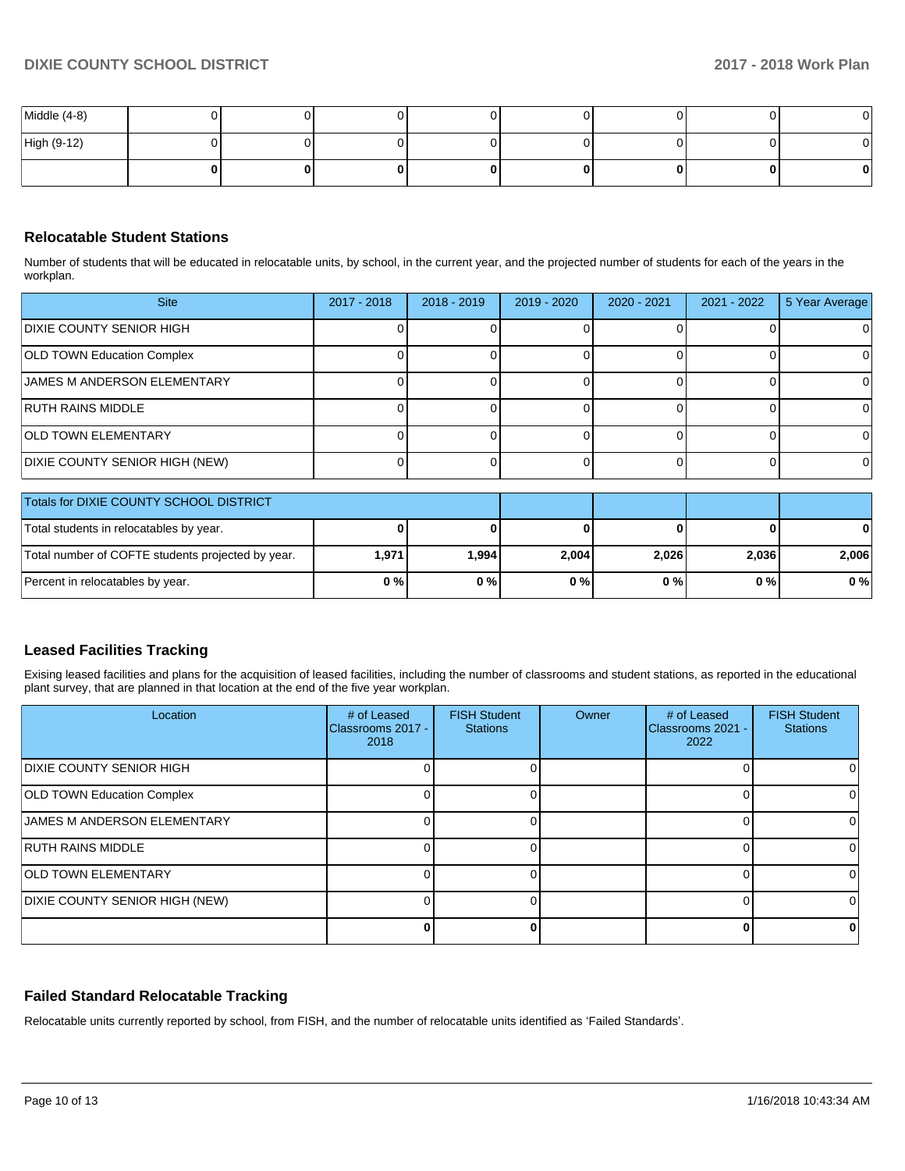| Middle (4-8) |   |   |  | OI |
|--------------|---|---|--|----|
| High (9-12)  | U |   |  | 01 |
|              | 0 | n |  | o  |

# **Relocatable Student Stations**

Number of students that will be educated in relocatable units, by school, in the current year, and the projected number of students for each of the years in the workplan.

| <b>Site</b>                             | 2017 - 2018 | $2018 - 2019$ | 2019 - 2020 | 2020 - 2021 | 2021 - 2022 | 5 Year Average |
|-----------------------------------------|-------------|---------------|-------------|-------------|-------------|----------------|
| <b>DIXIE COUNTY SENIOR HIGH</b>         |             |               |             |             |             |                |
| <b>OLD TOWN Education Complex</b>       |             |               |             |             |             |                |
| <b>JAMES M ANDERSON ELEMENTARY</b>      |             |               |             |             |             |                |
| <b>RUTH RAINS MIDDLE</b>                |             |               |             |             |             |                |
| <b>OLD TOWN ELEMENTARY</b>              |             |               |             |             |             |                |
| DIXIE COUNTY SENIOR HIGH (NEW)          |             |               |             |             |             |                |
| Totals for DIXIE COUNTY SCHOOL DISTRICT |             |               |             |             |             |                |

| LIOTAIS TOP DIXIE COUNT Y SCHOOL DISTRICT         |       |        |       |       |       |       |
|---------------------------------------------------|-------|--------|-------|-------|-------|-------|
| Total students in relocatables by year.           |       |        |       |       |       | 0     |
| Total number of COFTE students projected by year. | 1,971 | 994. ا | 2,004 | 2.026 | 2,036 | 2.006 |
| Percent in relocatables by year.                  | 0%    | 0%     | 0 % I | 0%    | 0 % I | $0\%$ |

#### **Leased Facilities Tracking**

Exising leased facilities and plans for the acquisition of leased facilities, including the number of classrooms and student stations, as reported in the educational plant survey, that are planned in that location at the end of the five year workplan.

| Location                          | # of Leased<br>IClassrooms 2017 -<br>2018 | <b>FISH Student</b><br><b>Stations</b> | <b>Owner</b> | # of Leased<br>Classrooms 2021 -<br>2022 | <b>FISH Student</b><br><b>Stations</b> |
|-----------------------------------|-------------------------------------------|----------------------------------------|--------------|------------------------------------------|----------------------------------------|
| <b>DIXIE COUNTY SENIOR HIGH</b>   |                                           |                                        |              |                                          |                                        |
| <b>OLD TOWN Education Complex</b> |                                           |                                        |              |                                          |                                        |
| JAMES M ANDERSON ELEMENTARY       |                                           |                                        |              |                                          |                                        |
| <b>RUTH RAINS MIDDLE</b>          |                                           |                                        |              |                                          |                                        |
| <b>OLD TOWN ELEMENTARY</b>        |                                           |                                        |              |                                          |                                        |
| DIXIE COUNTY SENIOR HIGH (NEW)    |                                           |                                        |              |                                          |                                        |
|                                   |                                           |                                        |              | U                                        |                                        |

#### **Failed Standard Relocatable Tracking**

Relocatable units currently reported by school, from FISH, and the number of relocatable units identified as 'Failed Standards'.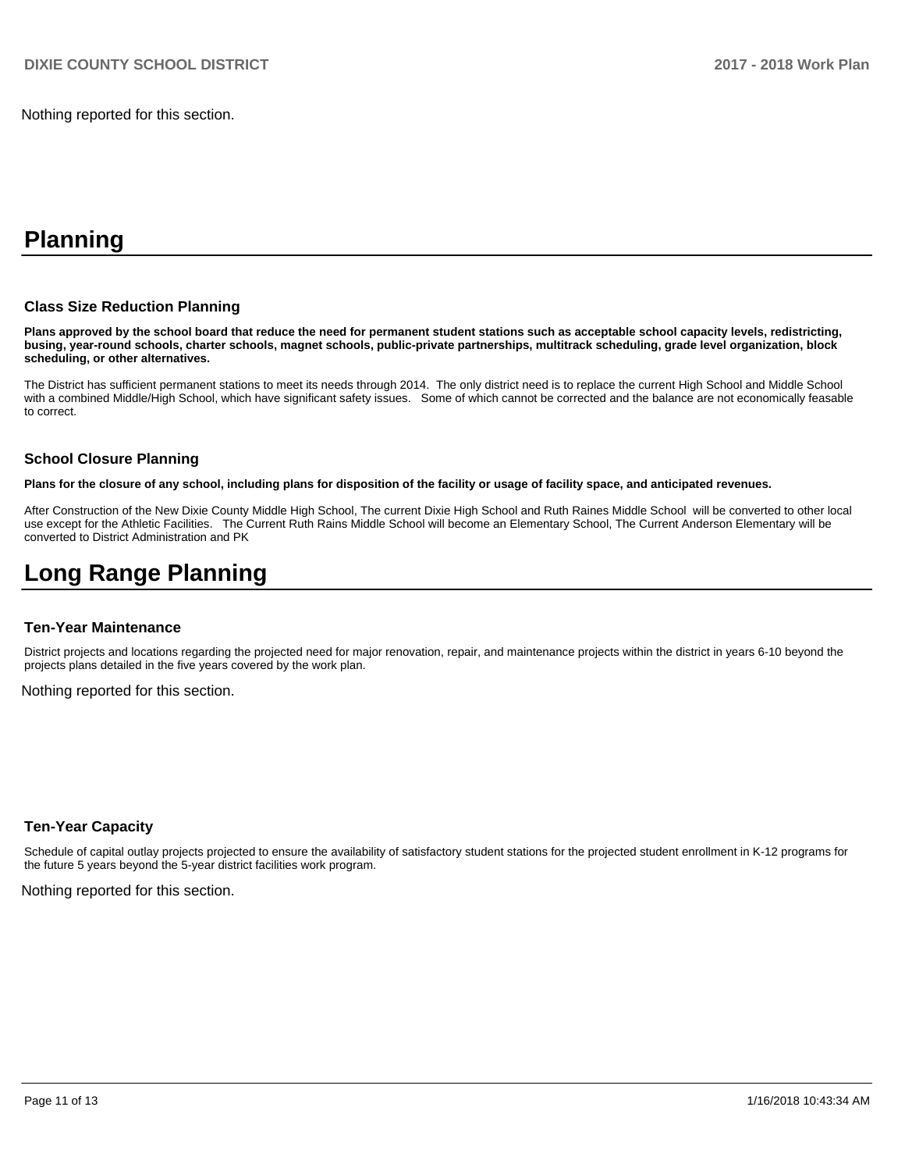Nothing reported for this section.

# **Planning**

#### **Class Size Reduction Planning**

**Plans approved by the school board that reduce the need for permanent student stations such as acceptable school capacity levels, redistricting, busing, year-round schools, charter schools, magnet schools, public-private partnerships, multitrack scheduling, grade level organization, block scheduling, or other alternatives.**

The District has sufficient permanent stations to meet its needs through 2014. The only district need is to replace the current High School and Middle School with a combined Middle/High School, which have significant safety issues. Some of which cannot be corrected and the balance are not economically feasable to correct.

#### **School Closure Planning**

**Plans for the closure of any school, including plans for disposition of the facility or usage of facility space, and anticipated revenues.** 

After Construction of the New Dixie County Middle High School, The current Dixie High School and Ruth Raines Middle School will be converted to other local use except for the Athletic Facilities. The Current Ruth Rains Middle School will become an Elementary School, The Current Anderson Elementary will be converted to District Administration and PK

# **Long Range Planning**

#### **Ten-Year Maintenance**

District projects and locations regarding the projected need for major renovation, repair, and maintenance projects within the district in years 6-10 beyond the projects plans detailed in the five years covered by the work plan.

Nothing reported for this section.

#### **Ten-Year Capacity**

Schedule of capital outlay projects projected to ensure the availability of satisfactory student stations for the projected student enrollment in K-12 programs for the future 5 years beyond the 5-year district facilities work program.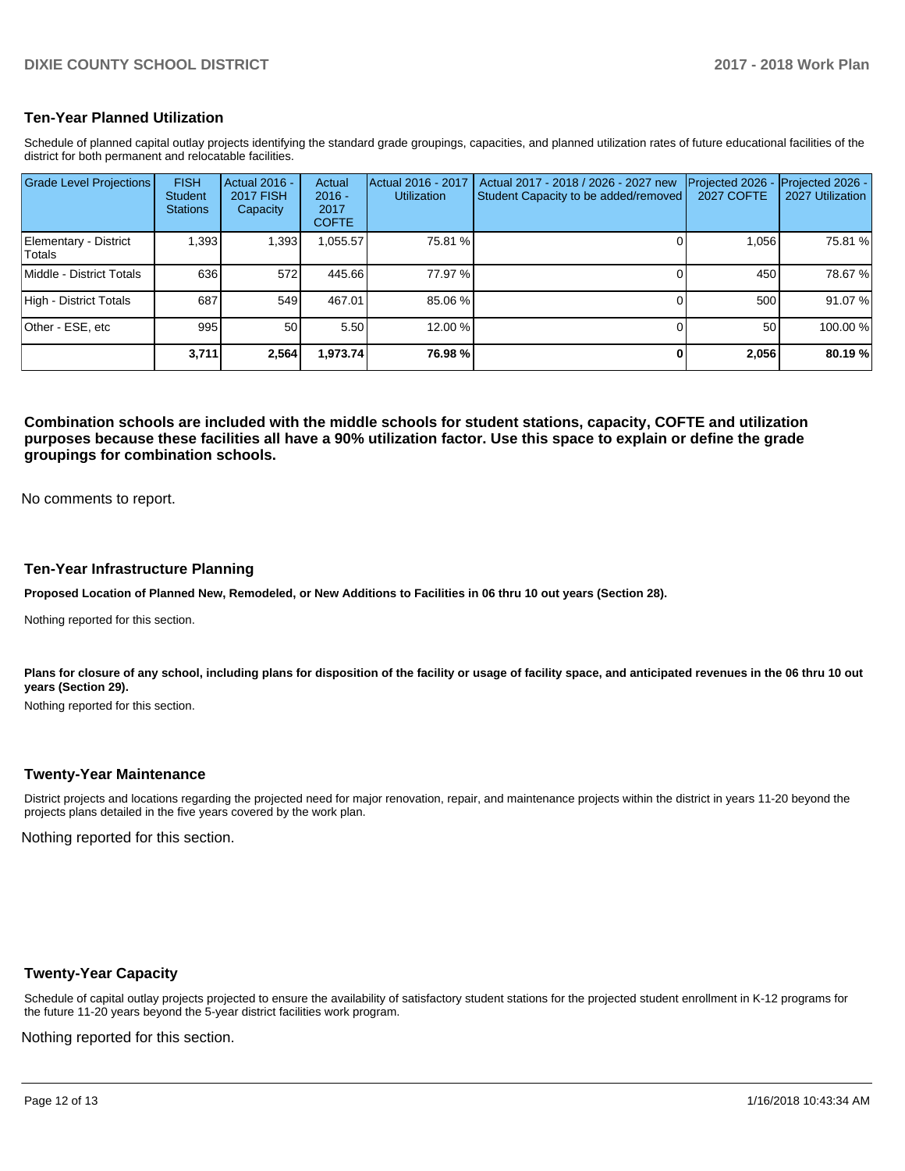### **Ten-Year Planned Utilization**

Schedule of planned capital outlay projects identifying the standard grade groupings, capacities, and planned utilization rates of future educational facilities of the district for both permanent and relocatable facilities.

| <b>Grade Level Projections</b>  | <b>FISH</b><br><b>Student</b><br><b>Stations</b> | Actual 2016 -<br><b>2017 FISH</b><br>Capacity | Actual<br>$2016 -$<br>2017<br><b>COFTE</b> | Actual 2016 - 2017<br><b>Utilization</b> | Actual 2017 - 2018 / 2026 - 2027 new<br>Student Capacity to be added/removed | Projected 2026<br><b>2027 COFTE</b> | Projected 2026 -<br>2027 Utilization |
|---------------------------------|--------------------------------------------------|-----------------------------------------------|--------------------------------------------|------------------------------------------|------------------------------------------------------------------------------|-------------------------------------|--------------------------------------|
| Elementary - District<br>Totals | 1.393                                            | 1,393                                         | 0.055.57                                   | 75.81 %                                  |                                                                              | 1.056                               | 75.81 %                              |
| Middle - District Totals        | 636                                              | 572                                           | 445.66                                     | 77.97 %                                  |                                                                              | 450                                 | 78.67%                               |
| High - District Totals          | 687                                              | 549                                           | 467.01                                     | 85.06 %                                  |                                                                              | 500                                 | 91.07%                               |
| Other - ESE, etc                | 995                                              | 50                                            | 5.50                                       | 12.00 %                                  |                                                                              | 50                                  | 100.00 %                             |
|                                 | 3,711                                            | 2,564                                         | 1,973.74                                   | 76.98 %                                  |                                                                              | 2,056                               | 80.19%                               |

**Combination schools are included with the middle schools for student stations, capacity, COFTE and utilization purposes because these facilities all have a 90% utilization factor. Use this space to explain or define the grade groupings for combination schools.** 

No comments to report.

#### **Ten-Year Infrastructure Planning**

**Proposed Location of Planned New, Remodeled, or New Additions to Facilities in 06 thru 10 out years (Section 28).**

Nothing reported for this section.

Plans for closure of any school, including plans for disposition of the facility or usage of facility space, and anticipated revenues in the 06 thru 10 out **years (Section 29).**

Nothing reported for this section.

#### **Twenty-Year Maintenance**

District projects and locations regarding the projected need for major renovation, repair, and maintenance projects within the district in years 11-20 beyond the projects plans detailed in the five years covered by the work plan.

Nothing reported for this section.

#### **Twenty-Year Capacity**

Schedule of capital outlay projects projected to ensure the availability of satisfactory student stations for the projected student enrollment in K-12 programs for the future 11-20 years beyond the 5-year district facilities work program.